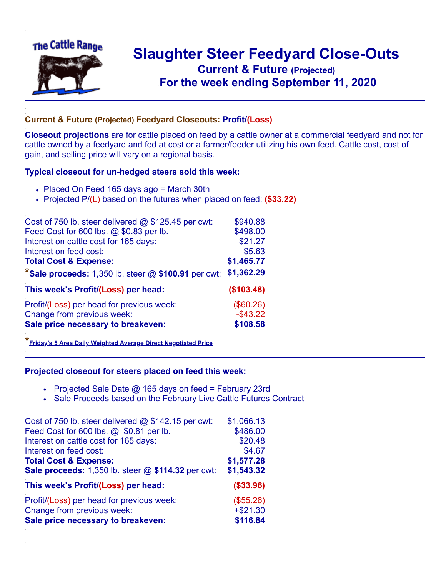

## **Slaughter Steer Feedyard Close-Outs Current & Future (Projected)** .**For the week ending September 11, 2020**

## **Current & Future (Projected) Feedyard Closeouts: Profit/(Loss)**

**Closeout projections** are for cattle placed on feed by a cattle owner at a commercial feedyard and not for cattle owned by a feedyard and fed at cost or a farmer/feeder utilizing his own feed. Cattle cost, cost of gain, and selling price will vary on a regional basis.

## **Typical closeout for un-hedged steers sold this week:**

- Placed On Feed 165 days ago = March 30th
- Projected P/(L) based on the futures when placed on feed: **(\$33.22)**

| Cost of 750 lb. steer delivered @ \$125.45 per cwt:          | \$940.88    |
|--------------------------------------------------------------|-------------|
| Feed Cost for 600 lbs. @ \$0.83 per lb.                      | \$498.00    |
| Interest on cattle cost for 165 days:                        | \$21.27     |
| Interest on feed cost:                                       | \$5.63      |
| <b>Total Cost &amp; Expense:</b>                             | \$1,465.77  |
| <b>*Sale proceeds:</b> 1,350 lb. steer $@$ \$100.91 per cwt: | \$1,362.29  |
| This week's Profit/(Loss) per head:                          | (\$103.48)  |
| Profit/(Loss) per head for previous week:                    | (\$60.26)   |
| Change from previous week:                                   | $-$ \$43.22 |
| Sale price necessary to breakeven:                           | \$108.58    |

**\*[Friday's 5 Area Daily Weighted Average Direct Negotiated Price](https://www.ams.usda.gov/mnreports/ams_2466.pdf)**

## **Projected closeout for steers placed on feed this week:**

- Projected Sale Date  $@$  165 days on feed = February 23rd
- Sale Proceeds based on the February Live Cattle Futures Contract

| Cost of 750 lb. steer delivered @ \$142.15 per cwt: | \$1,066.13 |
|-----------------------------------------------------|------------|
| Feed Cost for 600 lbs. @ \$0.81 per lb.             | \$486.00   |
| Interest on cattle cost for 165 days:               | \$20.48    |
| Interest on feed cost:                              | \$4.67     |
| <b>Total Cost &amp; Expense:</b>                    | \$1,577.28 |
| Sale proceeds: 1,350 lb. steer @ \$114.32 per cwt:  | \$1,543.32 |
| This week's Profit/(Loss) per head:                 | ( \$33.96) |
| Profit/(Loss) per head for previous week:           | (\$55.26)  |
| Change from previous week:                          | $+ $21.30$ |
| Sale price necessary to breakeven:                  | \$116.84   |